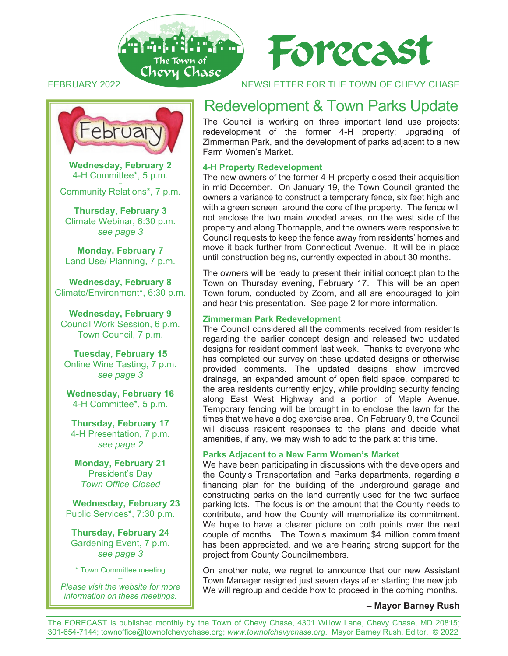



### FEBRUARY 2022 NEWSLETTER FOR THE TOWN OF CHEVY CHASE



**Wednesday, February 2**  4-H Committee\*, 5 p.m.

-- Community Relations\*, 7 p.m.

**Thursday, February 3** Climate Webinar, 6:30 p.m. *see page 3*

**Monday, February 7** Land Use/ Planning, 7 p.m.

**Wednesday, February 8** Climate/Environment\*, 6:30 p.m.

**Wednesday, February 9** Council Work Session, 6 p.m. Town Council, 7 p.m.

**Tuesday, February 15** Online Wine Tasting, 7 p.m. *see page 3* 

**Wednesday, February 16** 4-H Committee\*, 5 p.m.

**Thursday, February 17** 4-H Presentation, 7 p.m. *see page 2* 

**Monday, February 21**  President's Day *Town Office Closed* 

**Wednesday, February 23** Public Services\*, 7:30 p.m.

**Thursday, February 24** Gardening Event, 7 p.m. *see page 3* 

\* Town Committee meeting

-- *Please visit the website for more information on these meetings.* 

# Redevelopment & Town Parks Update

The Council is working on three important land use projects: redevelopment of the former 4-H property; upgrading of Zimmerman Park, and the development of parks adjacent to a new Farm Women's Market.

### **4-H Property Redevelopment**

The new owners of the former 4-H property closed their acquisition in mid-December. On January 19, the Town Council granted the owners a variance to construct a temporary fence, six feet high and with a green screen, around the core of the property. The fence will not enclose the two main wooded areas, on the west side of the property and along Thornapple, and the owners were responsive to Council requests to keep the fence away from residents' homes and move it back further from Connecticut Avenue. It will be in place until construction begins, currently expected in about 30 months.

The owners will be ready to present their initial concept plan to the Town on Thursday evening, February 17. This will be an open Town forum, conducted by Zoom, and all are encouraged to join and hear this presentation. See page 2 for more information.

### **Zimmerman Park Redevelopment**

The Council considered all the comments received from residents regarding the earlier concept design and released two updated designs for resident comment last week. Thanks to everyone who has completed our survey on these updated designs or otherwise provided comments. The updated designs show improved drainage, an expanded amount of open field space, compared to the area residents currently enjoy, while providing security fencing along East West Highway and a portion of Maple Avenue. Temporary fencing will be brought in to enclose the lawn for the times that we have a dog exercise area. On February 9, the Council will discuss resident responses to the plans and decide what amenities, if any, we may wish to add to the park at this time.

### **Parks Adjacent to a New Farm Women's Market**

We have been participating in discussions with the developers and the County's Transportation and Parks departments, regarding a financing plan for the building of the underground garage and constructing parks on the land currently used for the two surface parking lots. The focus is on the amount that the County needs to contribute, and how the County will memorialize its commitment. We hope to have a clearer picture on both points over the next couple of months. The Town's maximum \$4 million commitment has been appreciated, and we are hearing strong support for the project from County Councilmembers.

On another note, we regret to announce that our new Assistant Town Manager resigned just seven days after starting the new job. We will regroup and decide how to proceed in the coming months.

### **– Mayor Barney Rush**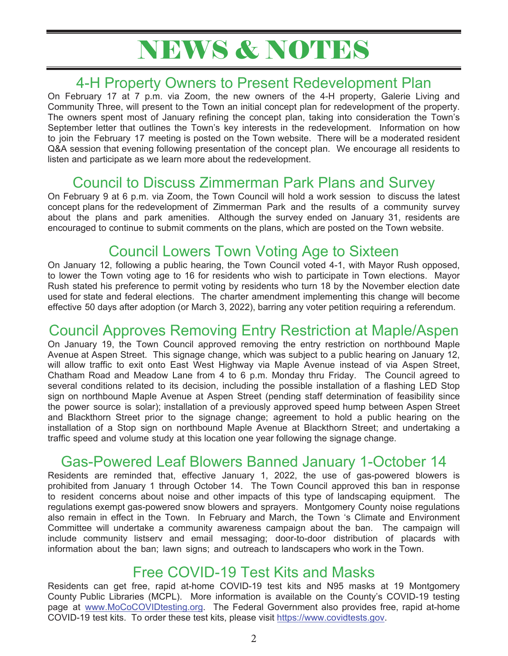# NEWS & NOTES

# 4-H Property Owners to Present Redevelopment Plan

On February 17 at 7 p.m. via Zoom, the new owners of the 4-H property, Galerie Living and Community Three, will present to the Town an initial concept plan for redevelopment of the property. The owners spent most of January refining the concept plan, taking into consideration the Town's September letter that outlines the Town's key interests in the redevelopment. Information on how to join the February 17 meeting is posted on the Town website. There will be a moderated resident Q&A session that evening following presentation of the concept plan. We encourage all residents to listen and participate as we learn more about the redevelopment.

# Council to Discuss Zimmerman Park Plans and Survey

On February 9 at 6 p.m. via Zoom, the Town Council will hold a work session to discuss the latest concept plans for the redevelopment of Zimmerman Park and the results of a community survey about the plans and park amenities. Although the survey ended on January 31, residents are encouraged to continue to submit comments on the plans, which are posted on the Town website.

# Council Lowers Town Voting Age to Sixteen

On January 12, following a public hearing, the Town Council voted 4-1, with Mayor Rush opposed, to lower the Town voting age to 16 for residents who wish to participate in Town elections. Mayor Rush stated his preference to permit voting by residents who turn 18 by the November election date used for state and federal elections. The charter amendment implementing this change will become effective 50 days after adoption (or March 3, 2022), barring any voter petition requiring a referendum.

## Council Approves Removing Entry Restriction at Maple/Aspen

On January 19, the Town Council approved removing the entry restriction on northbound Maple Avenue at Aspen Street. This signage change, which was subject to a public hearing on January 12, will allow traffic to exit onto East West Highway via Maple Avenue instead of via Aspen Street, Chatham Road and Meadow Lane from 4 to 6 p.m. Monday thru Friday. The Council agreed to several conditions related to its decision, including the possible installation of a flashing LED Stop sign on northbound Maple Avenue at Aspen Street (pending staff determination of feasibility since the power source is solar); installation of a previously approved speed hump between Aspen Street and Blackthorn Street prior to the signage change; agreement to hold a public hearing on the installation of a Stop sign on northbound Maple Avenue at Blackthorn Street; and undertaking a traffic speed and volume study at this location one year following the signage change.

# Gas-Powered Leaf Blowers Banned January 1-October 14

Residents are reminded that, effective January 1, 2022, the use of gas-powered blowers is prohibited from January 1 through October 14. The Town Council approved this ban in response to resident concerns about noise and other impacts of this type of landscaping equipment. The regulations exempt gas-powered snow blowers and sprayers. Montgomery County noise regulations also remain in effect in the Town. In February and March, the Town 's Climate and Environment Committee will undertake a community awareness campaign about the ban. The campaign will include community listserv and email messaging; door-to-door distribution of placards with information about the ban; lawn signs; and outreach to landscapers who work in the Town.

## Free COVID-19 Test Kits and Masks

Residents can get free, rapid at-home COVID-19 test kits and N95 masks at 19 Montgomery County Public Libraries (MCPL). More information is available on the County's COVID-19 testing page at www.MoCoCOVIDtesting.org. The Federal Government also provides free, rapid at-home COVID-19 test kits. To order these test kits, please visit https://www.covidtests.gov.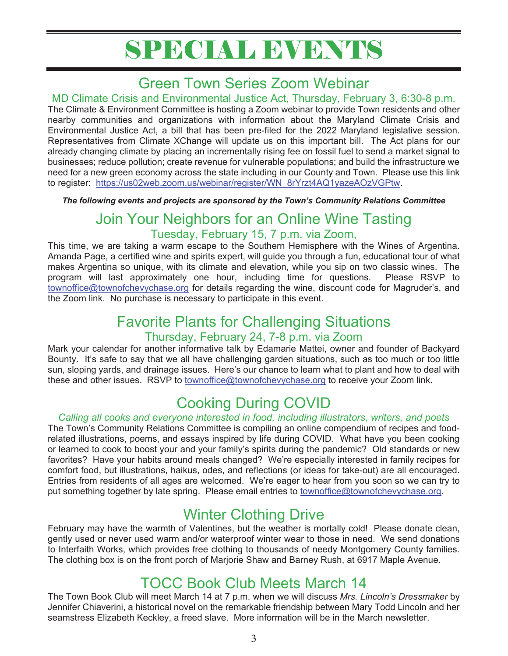# SPECIAL EVENTS

# Green Town Series Zoom Webinar

## MD Climate Crisis and Environmental Justice Act, Thursday, February 3, 6:30-8 p.m.

The Climate & Environment Committee is hosting a Zoom webinar to provide Town residents and other nearby communities and organizations with information about the Maryland Climate Crisis and Environmental Justice Act, a bill that has been pre-filed for the 2022 Maryland legislative session. Representatives from Climate XChange will update us on this important bill. The Act plans for our already changing climate by placing an incrementally rising fee on fossil fuel to send a market signal to businesses; reduce pollution; create revenue for vulnerable populations; and build the infrastructure we need for a new green economy across the state including in our County and Town. Please use this link to register: https://us02web.zoom.us/webinar/register/WN\_8rYrzt4AQ1yazeAOzVGPtw.

*The following events and projects are sponsored by the Town's Community Relations Committee* 

## Join Your Neighbors for an Online Wine Tasting Tuesday, February 15, 7 p.m. via Zoom,

This time, we are taking a warm escape to the Southern Hemisphere with the Wines of Argentina. Amanda Page, a certified wine and spirits expert, will guide you through a fun, educational tour of what makes Argentina so unique, with its climate and elevation, while you sip on two classic wines. The program will last approximately one hour, including time for questions. Please RSVP to townoffice@townofchevychase.org for details regarding the wine, discount code for Magruder's, and the Zoom link. No purchase is necessary to participate in this event.

## Favorite Plants for Challenging Situations Thursday, February 24, 7-8 p.m. via Zoom

Mark your calendar for another informative talk by Edamarie Mattei, owner and founder of Backyard Bounty. It's safe to say that we all have challenging garden situations, such as too much or too little sun, sloping yards, and drainage issues. Here's our chance to learn what to plant and how to deal with these and other issues. RSVP to townoffice@townofchevychase.org to receive your Zoom link.

# Cooking During COVID

## *Calling all cooks and everyone interested in food, including illustrators, writers, and poets*

The Town's Community Relations Committee is compiling an online compendium of recipes and foodrelated illustrations, poems, and essays inspired by life during COVID. What have you been cooking or learned to cook to boost your and your family's spirits during the pandemic? Old standards or new favorites? Have your habits around meals changed? We're especially interested in family recipes for comfort food, but illustrations, haikus, odes, and reflections (or ideas for take-out) are all encouraged. Entries from residents of all ages are welcomed. We're eager to hear from you soon so we can try to put something together by late spring. Please email entries to townoffice@townofchevychase.org.

# Winter Clothing Drive

February may have the warmth of Valentines, but the weather is mortally cold! Please donate clean, gently used or never used warm and/or waterproof winter wear to those in need. We send donations to Interfaith Works, which provides free clothing to thousands of needy Montgomery County families. The clothing box is on the front porch of Marjorie Shaw and Barney Rush, at 6917 Maple Avenue.

# TOCC Book Club Meets March 14

The Town Book Club will meet March 14 at 7 p.m. when we will discuss *Mrs. Lincoln's Dressmaker* by Jennifer Chiaverini, a historical novel on the remarkable friendship between Mary Todd Lincoln and her seamstress Elizabeth Keckley, a freed slave. More information will be in the March newsletter.